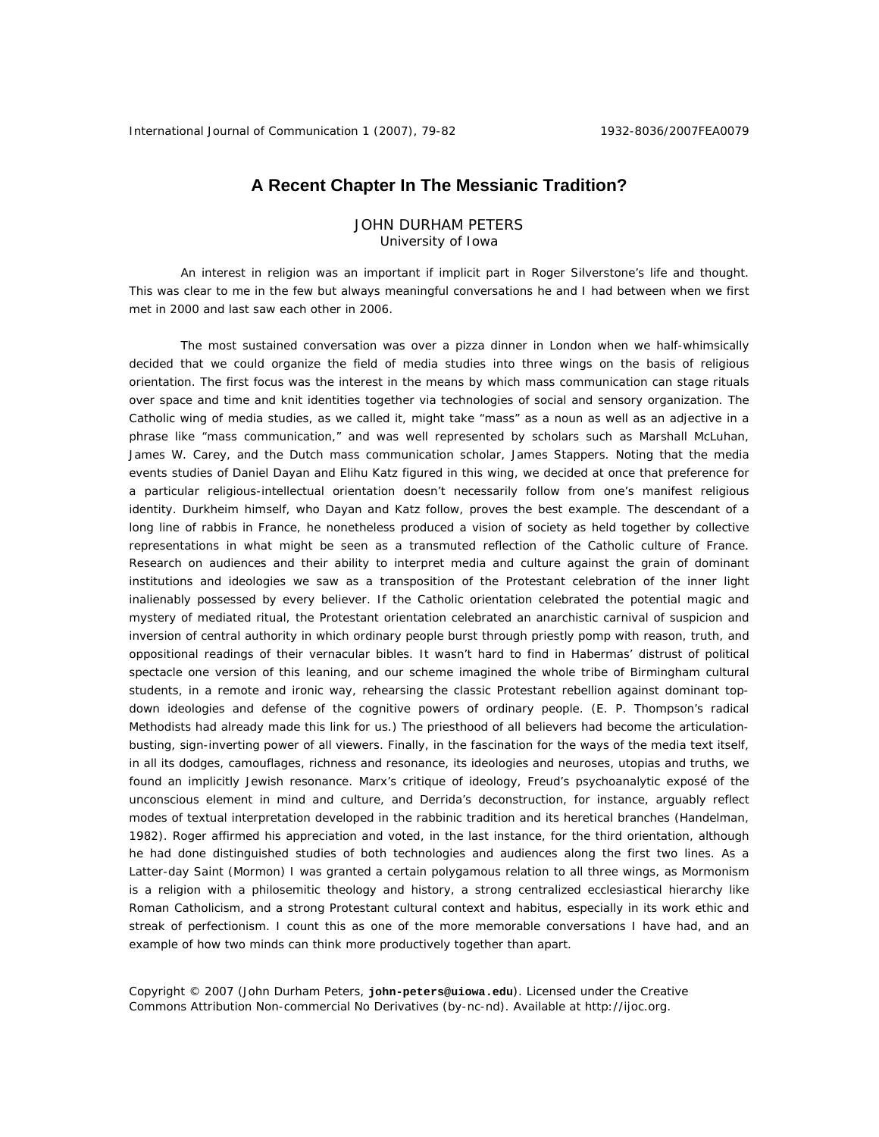## **A Recent Chapter In The Messianic Tradition?**

JOHN DURHAM PETERS University of Iowa

An interest in religion was an important if implicit part in Roger Silverstone's life and thought. This was clear to me in the few but always meaningful conversations he and I had between when we first met in 2000 and last saw each other in 2006.

The most sustained conversation was over a pizza dinner in London when we half-whimsically decided that we could organize the field of media studies into three wings on the basis of religious orientation. The first focus was the interest in the means by which mass communication can stage rituals over space and time and knit identities together via technologies of social and sensory organization. The Catholic wing of media studies, as we called it, might take "mass" as a noun as well as an adjective in a phrase like "mass communication," and was well represented by scholars such as Marshall McLuhan, James W. Carey, and the Dutch mass communication scholar, James Stappers. Noting that the media events studies of Daniel Dayan and Elihu Katz figured in this wing, we decided at once that preference for a particular religious-intellectual orientation doesn't necessarily follow from one's manifest religious identity. Durkheim himself, who Dayan and Katz follow, proves the best example. The descendant of a long line of rabbis in France, he nonetheless produced a vision of society as held together by collective representations in what might be seen as a transmuted reflection of the Catholic culture of France. Research on audiences and their ability to interpret media and culture against the grain of dominant institutions and ideologies we saw as a transposition of the Protestant celebration of the inner light inalienably possessed by every believer. If the Catholic orientation celebrated the potential magic and mystery of mediated ritual, the Protestant orientation celebrated an anarchistic carnival of suspicion and inversion of central authority in which ordinary people burst through priestly pomp with reason, truth, and oppositional readings of their vernacular bibles. It wasn't hard to find in Habermas' distrust of political spectacle one version of this leaning, and our scheme imagined the whole tribe of Birmingham cultural students, in a remote and ironic way, rehearsing the classic Protestant rebellion against dominant topdown ideologies and defense of the cognitive powers of ordinary people. (E. P. Thompson's radical Methodists had already made this link for us.) The priesthood of all believers had become the articulationbusting, sign-inverting power of all viewers. Finally, in the fascination for the ways of the media text itself, in all its dodges, camouflages, richness and resonance, its ideologies and neuroses, utopias and truths, we found an implicitly Jewish resonance. Marx's critique of ideology, Freud's psychoanalytic exposé of the unconscious element in mind and culture, and Derrida's deconstruction, for instance, arguably reflect modes of textual interpretation developed in the rabbinic tradition and its heretical branches (Handelman, 1982). Roger affirmed his appreciation and voted, in the last instance, for the third orientation, although he had done distinguished studies of both technologies and audiences along the first two lines. As a Latter-day Saint (Mormon) I was granted a certain polygamous relation to all three wings, as Mormonism is a religion with a philosemitic theology and history, a strong centralized ecclesiastical hierarchy like Roman Catholicism, and a strong Protestant cultural context and habitus, especially in its work ethic and streak of perfectionism. I count this as one of the more memorable conversations I have had, and an example of how two minds can think more productively together than apart.

Copyright © 2007 (John Durham Peters, **john-peters@uiowa.edu**). Licensed under the Creative Commons Attribution Non-commercial No Derivatives (by-nc-nd). Available at http://ijoc.org.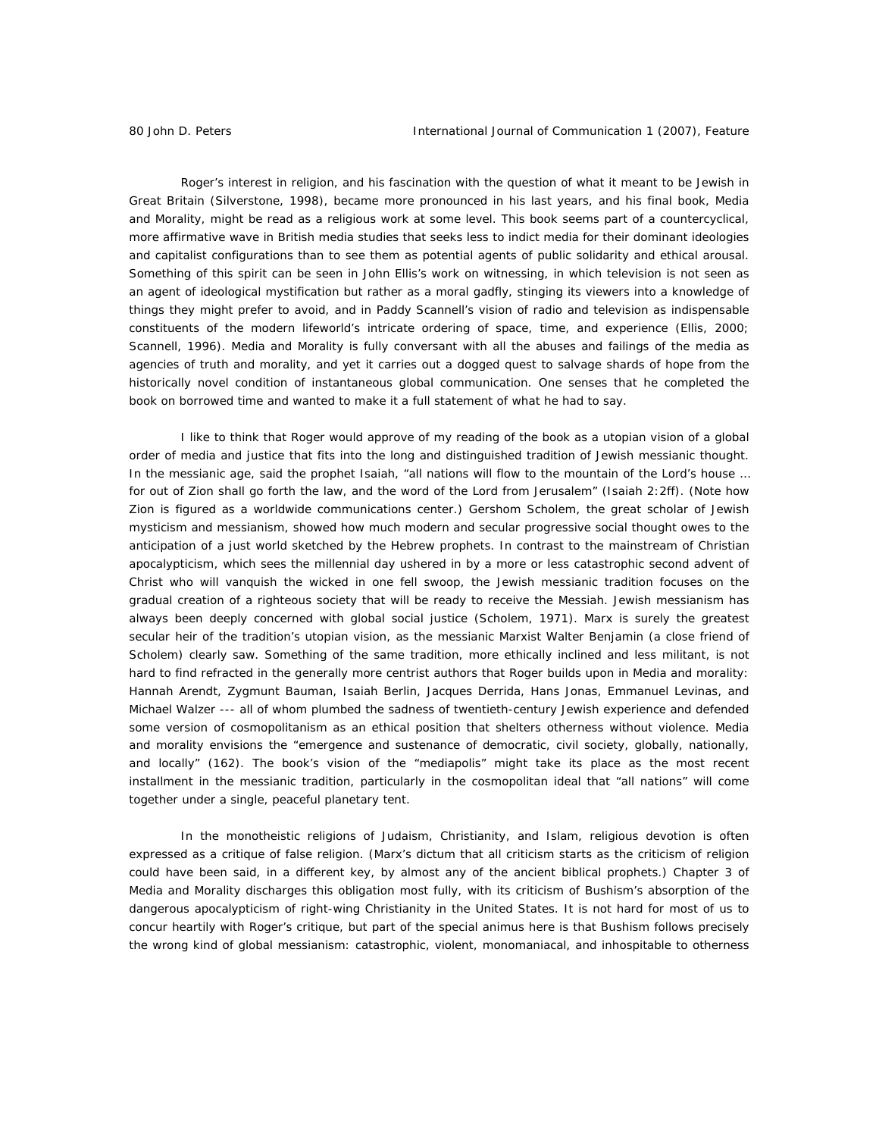Roger's interest in religion, and his fascination with the question of what it meant to be Jewish in Great Britain (Silverstone, 1998), became more pronounced in his last years, and his final book, *Media and Morality*, might be read as a religious work at some level. This book seems part of a countercyclical, more affirmative wave in British media studies that seeks less to indict media for their dominant ideologies and capitalist configurations than to see them as potential agents of public solidarity and ethical arousal. Something of this spirit can be seen in John Ellis's work on witnessing, in which television is not seen as an agent of ideological mystification but rather as a moral gadfly, stinging its viewers into a knowledge of things they might prefer to avoid, and in Paddy Scannell's vision of radio and television as indispensable constituents of the modern lifeworld's intricate ordering of space, time, and experience (Ellis, 2000; Scannell, 1996). *Media and Morality* is fully conversant with all the abuses and failings of the media as agencies of truth and morality, and yet it carries out a dogged quest to salvage shards of hope from the historically novel condition of instantaneous global communication. One senses that he completed the book on borrowed time and wanted to make it a full statement of what he had to say.

I like to think that Roger would approve of my reading of the book as a utopian vision of a global order of media and justice that fits into the long and distinguished tradition of Jewish messianic thought. In the messianic age, said the prophet Isaiah, "all nations will flow to the mountain of the Lord's house ... for out of Zion shall go forth the law, and the word of the Lord from Jerusalem" (Isaiah 2:2ff). (Note how Zion is figured as a worldwide communications center.) Gershom Scholem, the great scholar of Jewish mysticism and messianism, showed how much modern and secular progressive social thought owes to the anticipation of a just world sketched by the Hebrew prophets. In contrast to the mainstream of Christian apocalypticism, which sees the millennial day ushered in by a more or less catastrophic second advent of Christ who will vanquish the wicked in one fell swoop, the Jewish messianic tradition focuses on the gradual creation of a righteous society that will be ready to receive the Messiah. Jewish messianism has always been deeply concerned with global social justice (Scholem, 1971). Marx is surely the greatest secular heir of the tradition's utopian vision, as the messianic Marxist Walter Benjamin (a close friend of Scholem) clearly saw. Something of the same tradition, more ethically inclined and less militant, is not hard to find refracted in the generally more centrist authors that Roger builds upon in *Media and morality*: Hannah Arendt, Zygmunt Bauman, Isaiah Berlin, Jacques Derrida, Hans Jonas, Emmanuel Levinas, and Michael Walzer --- all of whom plumbed the sadness of twentieth-century Jewish experience and defended some version of cosmopolitanism as an ethical position that shelters otherness without violence. *Media and morality* envisions the "emergence and sustenance of democratic, civil society, globally, nationally, and locally" (162). The book's vision of the "mediapolis" might take its place as the most recent installment in the messianic tradition, particularly in the cosmopolitan ideal that "all nations" will come together under a single, peaceful planetary tent.

In the monotheistic religions of Judaism, Christianity, and Islam, religious devotion is often expressed as a critique of false religion. (Marx's dictum that all criticism starts as the criticism of religion could have been said, in a different key, by almost any of the ancient biblical prophets.) Chapter 3 of *Media and Morality* discharges this obligation most fully, with its criticism of Bushism's absorption of the dangerous apocalypticism of right-wing Christianity in the United States. It is not hard for most of us to concur heartily with Roger's critique, but part of the special animus here is that Bushism follows precisely the wrong kind of global messianism: catastrophic, violent, monomaniacal, and inhospitable to otherness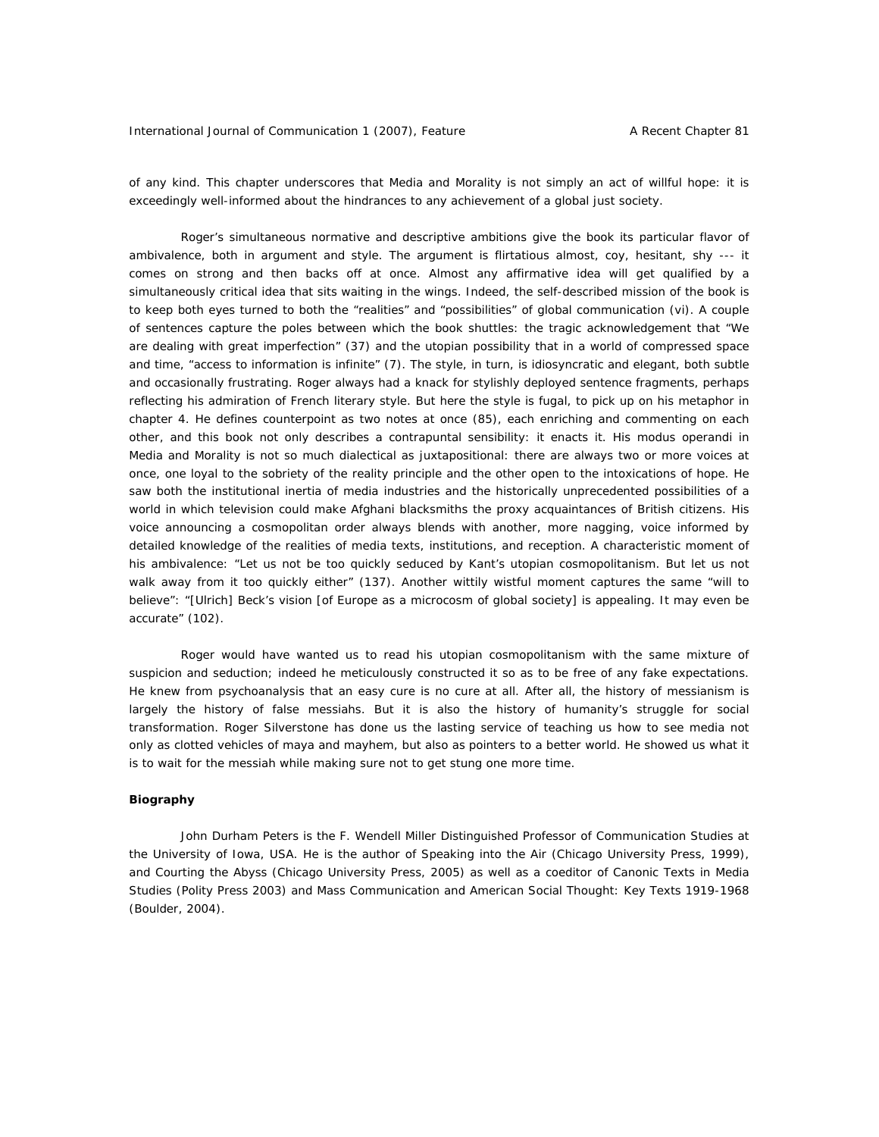of any kind. This chapter underscores that *Media and Morality* is not simply an act of willful hope: it is exceedingly well-informed about the hindrances to any achievement of a global just society.

Roger's simultaneous normative and descriptive ambitions give the book its particular flavor of ambivalence, both in argument and style. The argument is flirtatious almost, coy, hesitant, shy --- it comes on strong and then backs off at once. Almost any affirmative idea will get qualified by a simultaneously critical idea that sits waiting in the wings. Indeed, the self-described mission of the book is to keep both eyes turned to both the "realities" and "possibilities" of global communication (vi). A couple of sentences capture the poles between which the book shuttles: the tragic acknowledgement that "We are dealing with great imperfection" (37) and the utopian possibility that in a world of compressed space and time, "access to information is infinite" (7). The style, in turn, is idiosyncratic and elegant, both subtle and occasionally frustrating. Roger always had a knack for stylishly deployed sentence fragments, perhaps reflecting his admiration of French literary style. But here the style is fugal, to pick up on his metaphor in chapter 4. He defines counterpoint as two notes at once (85), each enriching and commenting on each other, and this book not only describes a contrapuntal sensibility: it enacts it. His modus operandi in *Media and Morality* is not so much dialectical as juxtapositional: there are always two or more voices at once, one loyal to the sobriety of the reality principle and the other open to the intoxications of hope. He saw both the institutional inertia of media industries and the historically unprecedented possibilities of a world in which television could make Afghani blacksmiths the proxy acquaintances of British citizens. His voice announcing a cosmopolitan order always blends with another, more nagging, voice informed by detailed knowledge of the realities of media texts, institutions, and reception. A characteristic moment of his ambivalence: "Let us not be too quickly seduced by Kant's utopian cosmopolitanism. But let us not walk away from it too quickly either" (137). Another wittily wistful moment captures the same "will to believe": "[Ulrich] Beck's vision [of Europe as a microcosm of global society] is appealing. It may even be accurate" (102).

Roger would have wanted us to read his utopian cosmopolitanism with the same mixture of suspicion and seduction; indeed he meticulously constructed it so as to be free of any fake expectations. He knew from psychoanalysis that an easy cure is no cure at all. After all, the history of messianism is largely the history of false messiahs. But it is also the history of humanity's struggle for social transformation. Roger Silverstone has done us the lasting service of teaching us how to see media not only as clotted vehicles of maya and mayhem, but also as pointers to a better world. He showed us what it is to wait for the messiah while making sure not to get stung one more time.

## **Biography**

John Durham Peters is the F. Wendell Miller Distinguished Professor of Communication Studies at the University of Iowa, USA. He is the author of *Speaking into the Air* (Chicago University Press, 1999), and *Courting the Abyss* (Chicago University Press, 2005) as well as a coeditor of *Canonic Texts in Media Studies* (Polity Press 2003) and *Mass Communication and American Social Thought: Key Texts 1919-1968*  (Boulder, 2004).